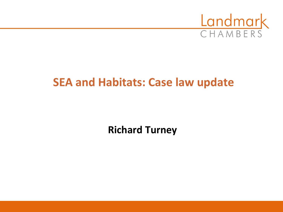

## **SEA and Habitats: Case law update**

**Richard Turney**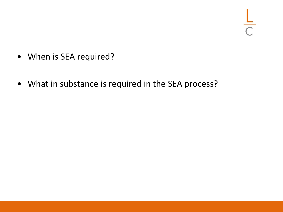- When is SEA required?
- What in substance is required in the SEA process?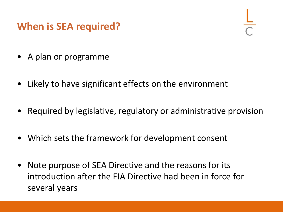### **When is SEA required?**

- A plan or programme
- Likely to have significant effects on the environment
- Required by legislative, regulatory or administrative provision
- Which sets the framework for development consent
- Note purpose of SEA Directive and the reasons for its introduction after the EIA Directive had been in force for several years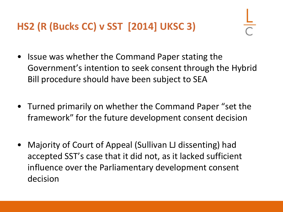## **HS2 (R (Bucks CC) v SST [2014] UKSC 3)**

- Issue was whether the Command Paper stating the Government's intention to seek consent through the Hybrid Bill procedure should have been subject to SEA
- Turned primarily on whether the Command Paper "set the framework" for the future development consent decision
- Majority of Court of Appeal (Sullivan LJ dissenting) had accepted SST's case that it did not, as it lacked sufficient influence over the Parliamentary development consent decision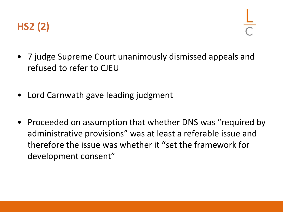

- 7 judge Supreme Court unanimously dismissed appeals and refused to refer to CJEU
- Lord Carnwath gave leading judgment
- Proceeded on assumption that whether DNS was "required by administrative provisions" was at least a referable issue and therefore the issue was whether it "set the framework for development consent"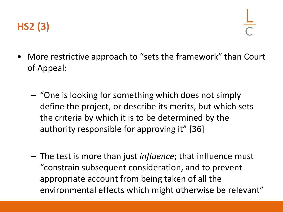

- More restrictive approach to "sets the framework" than Court of Appeal:
	- "One is looking for something which does not simply define the project, or describe its merits, but which sets the criteria by which it is to be determined by the authority responsible for approving it" [36]
	- The test is more than just *influence*; that influence must "constrain subsequent consideration, and to prevent appropriate account from being taken of all the environmental effects which might otherwise be relevant"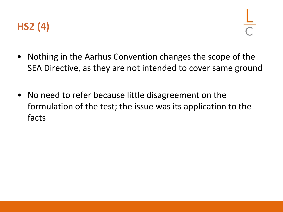

- Nothing in the Aarhus Convention changes the scope of the SEA Directive, as they are not intended to cover same ground
- No need to refer because little disagreement on the formulation of the test; the issue was its application to the facts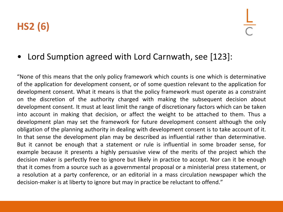## **HS2 (6)**

#### • Lord Sumption agreed with Lord Carnwath, see [123]:

"None of this means that the only policy framework which counts is one which is determinative of the application for development consent, or of some question relevant to the application for development consent. What it means is that the policy framework must operate as a constraint on the discretion of the authority charged with making the subsequent decision about development consent. It must at least limit the range of discretionary factors which can be taken into account in making that decision, or affect the weight to be attached to them. Thus a development plan may set the framework for future development consent although the only obligation of the planning authority in dealing with development consent is to take account of it. In that sense the development plan may be described as influential rather than determinative. But it cannot be enough that a statement or rule is influential in some broader sense, for example because it presents a highly persuasive view of the merits of the project which the decision maker is perfectly free to ignore but likely in practice to accept. Nor can it be enough that it comes from a source such as a governmental proposal or a ministerial press statement, or a resolution at a party conference, or an editorial in a mass circulation newspaper which the decision-maker is at liberty to ignore but may in practice be reluctant to offend."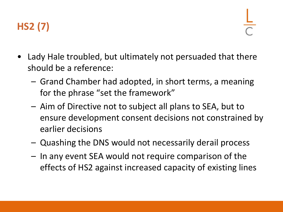

- Lady Hale troubled, but ultimately not persuaded that there should be a reference:
	- Grand Chamber had adopted, in short terms, a meaning for the phrase "set the framework"
	- Aim of Directive not to subject all plans to SEA, but to ensure development consent decisions not constrained by earlier decisions
	- Quashing the DNS would not necessarily derail process
	- In any event SEA would not require comparison of the effects of HS2 against increased capacity of existing lines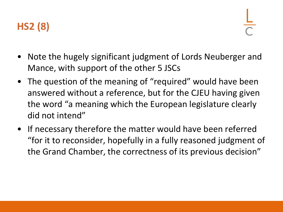## **HS2 (8)**

- Note the hugely significant judgment of Lords Neuberger and Mance, with support of the other 5 JSCs
- The question of the meaning of "required" would have been answered without a reference, but for the CJEU having given the word "a meaning which the European legislature clearly did not intend"
- If necessary therefore the matter would have been referred "for it to reconsider, hopefully in a fully reasoned judgment of the Grand Chamber, the correctness of its previous decision"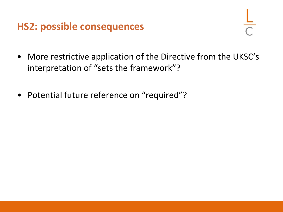### **HS2: possible consequences**

- 
- More restrictive application of the Directive from the UKSC's interpretation of "sets the framework"?
- Potential future reference on "required"?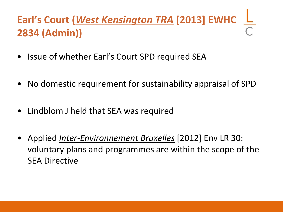# **Earl's Court (***West Kensington TRA* **[2013] EWHC 2834 (Admin))**

- Issue of whether Earl's Court SPD required SEA
- No domestic requirement for sustainability appraisal of SPD
- Lindblom J held that SEA was required
- Applied *Inter-Environnement Bruxelles* [2012] Env LR 30: voluntary plans and programmes are within the scope of the SEA Directive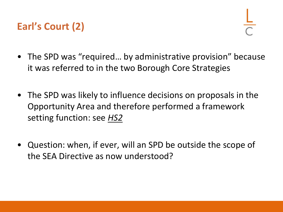## **Earl's Court (2)**

- The SPD was "required... by administrative provision" because it was referred to in the two Borough Core Strategies
- The SPD was likely to influence decisions on proposals in the Opportunity Area and therefore performed a framework setting function: see *HS2*
- Question: when, if ever, will an SPD be outside the scope of the SEA Directive as now understood?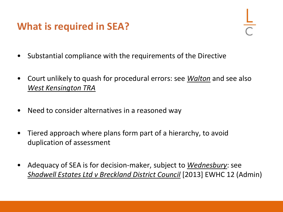### **What is required in SEA?**

- Substantial compliance with the requirements of the Directive
- Court unlikely to quash for procedural errors: see *Walton* and see also *West Kensington TRA*
- Need to consider alternatives in a reasoned way
- Tiered approach where plans form part of a hierarchy, to avoid duplication of assessment
- Adequacy of SEA is for decision-maker, subject to *Wednesbury*: see *Shadwell Estates Ltd v Breckland District Council* [2013] EWHC 12 (Admin)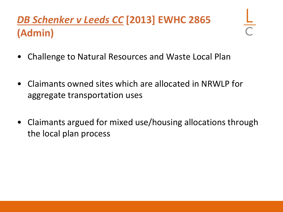# *DB Schenker v Leeds CC* **[2013] EWHC 2865 (Admin)**

- Challenge to Natural Resources and Waste Local Plan
- Claimants owned sites which are allocated in NRWLP for aggregate transportation uses
- Claimants argued for mixed use/housing allocations through the local plan process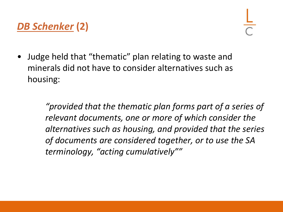## *DB Schenker* **(2)**

• Judge held that "thematic" plan relating to waste and minerals did not have to consider alternatives such as housing:

> *"provided that the thematic plan forms part of a series of relevant documents, one or more of which consider the alternatives such as housing, and provided that the series of documents are considered together, or to use the SA terminology, "acting cumulatively""*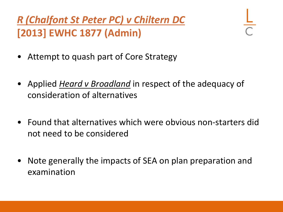*R (Chalfont St Peter PC) v Chiltern DC* **[2013] EWHC 1877 (Admin)**

- Attempt to quash part of Core Strategy
- Applied *Heard v Broadland* in respect of the adequacy of consideration of alternatives
- Found that alternatives which were obvious non-starters did not need to be considered
- Note generally the impacts of SEA on plan preparation and examination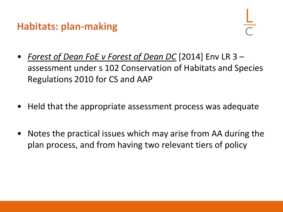### **Habitats: plan-making**

- *Forest of Dean FoE v Forest of Dean DC* [2014] Env LR 3 assessment under s 102 Conservation of Habitats and Species Regulations 2010 for CS and AAP
- Held that the appropriate assessment process was adequate
- Notes the practical issues which may arise from AA during the plan process, and from having two relevant tiers of policy